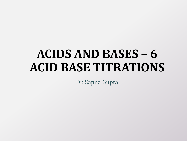# **ACIDS AND BASES – 6 ACID BASE TITRATIONS**

Dr. Sapna Gupta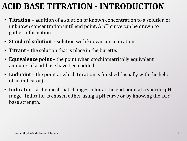# **ACID BASE TITRATION - INTRODUCTION**

- **Titration** addition of a solution of known concentration to a solution of unknown concentration until end point. A pH curve can be drawn to gather information.
- **Standard solution**  solution with known concentration.
- **Titrant** the solution that is place in the burette.
- **Equivalence point**  the point when stochiometrically equivalent amounts of acid-base have been added.
- **Endpoint** the point at which titration is finished (usually with the help of an indicator).
- **Indicator** a chemical that changes color at the end point at a specific pH range. Indicator is chosen either using a pH curve or by knowing the acidbase strength.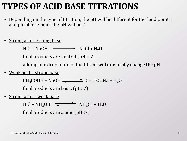### **TYPES OF ACID BASE TITRATIONS**

- Depending on the type of titration, the pH will be different for the "end point"; at equivalence point the pH will be 7.
- Strong acid strong base

 $HCl + NaOH \longrightarrow NaCl + H_2O$ 

final products are neutral  $\text{(pH = 7)}$ 

adding one drop more of the titrant will drastically change the pH.

• Weak acid – strong base

 $CH_3COOH + NaOH$   $\longrightarrow$   $CH_3COONa + H_2O$ final products are basic (pH>7)

• <u>Strong acid – weak base</u>

 $HCl + NH<sub>4</sub>OH$   $\longrightarrow$   $NH<sub>4</sub>Cl + H<sub>2</sub>O$ final products are acidic (pH<7)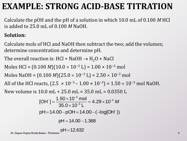# **EXAMPLE: STRONG ACID-BASE TITRATION**

Calculate the pOH and the pH of a solution in which 10.0 mL of 0.100 *M* HCl is added to 25.0 mL of 0.100 *M* NaOH.

#### **Solution:**

Calculate mols of HCl and NaOH then subtract the two; add the volumes; determine concentration and determine pH.

The overall reaction is: HCl + NaOH  $\rightarrow$  H<sub>2</sub>O + NaCl

Moles HCl =  $(0.100 M)(10.0 \times 10^{-3} L) = 1.00 \times 10^{-3}$  mol

Moles NaOH =  $(0.100 M)(25.0 \times 10^{-3} L) = 2.50 \times 10^{-3}$  mol

All of the HCl reacts,  $(2.5 \times 10^{-3} - 1.00 \times 10^{-3}) = 1.50 \times 10^{-3}$  mol NaOH.

New volume is 10.0 mL + 25.0 mL = 35.0 mL = 0.0350 L  
\n[OH<sup>-</sup>] = 
$$
\frac{1.50 \times 10^{-3} \text{ mol}}{35.0 \times 10^{-3} \text{ L}}
$$
 = 4.29 × 10<sup>-2</sup> M  
\n pH = 14.00-pOH = 14.00-(-log[OH<sup>-</sup>])  
\n pH = 14.00 - 1.368

$$
pH\!=\!12.632
$$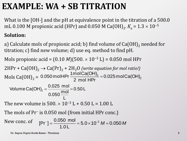# **EXAMPLE: WA + SB TITRATION**

What is the [OH-] and the pH at equivalence point in the titration of a 500.0 mL 0.100 M propionic acid (HPr) and 0.050 M Ca(OH)<sub>2</sub>.  $K_{\rm a}$  =  $1.3\times10^{-5}$ 

#### **Solution:**

a) Calculate mols of propionic acid; b) find volume of  $Ca(OH)_{2}$  needed for titration; c) find new volume; d) use eq. method to find pH.

Mols propionic acid =  $(0.10 \, M)(500. \times 10^{-3} L) = 0.050$  mol HPr

 $2HPr + Ca(OH)_2 \rightarrow Ca(Pr)_2 + 2H_2O$  *(write equation for mol ratio!)* Mols Ca(OH)<sub>2</sub> = 0.050 molHPr  $\frac{1000 \text{ GeV}}{2 \text{ mol H}}$  = 0.025 molCa(OH)<sub>2</sub>  $2 = 0.025$  mol $Ca(OH)$ 2 mol HPr 0.050 molHPr  $\frac{1 \text{ mol Ca(OH)}_2}{2}$  = 0.50 L L  $0.050 \frac{\text{mol}}{\cdot}$ Volume Ca(OH)<sub>2</sub> =  $\frac{0.025 \text{ mol}}{\text{mol}}$  =

The new volume is  $500. \times 10^{-3}$  L + 0.50 L = 1.00 L

The mols of Pr<sup>−</sup> is 0.050 mol (from initial HPr conc.)

The most of 
$$
[\Pr^{\dagger}] = \frac{0.050 \text{ mol}}{1.0 \text{ L}} = 5.0 \times 10^{-2} \text{ M} = 0.050 \text{ M}
$$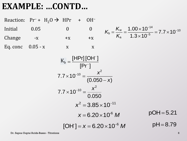### **EXAMPLE: …CONTD…**

Reaction: Pr<sup>−</sup> + H<sub>2</sub>O  $\rightarrow$  HPr + OH<sup>−</sup> Initial 0.05 0 0 Change  $-x$   $+x$   $+x$ Eq. conc  $0.05 - x$  x x 14  $w = 1.00 \times 10$   $-7.7 \times 10^{-10}$  $b = \frac{V}{K} = \frac{1}{1.2 \times 10^{-5}}$ a  $=\frac{K_{w}}{16}=\frac{1.00\times10^{-14}}{100\times10^{-5}}=7.7\times10$  $1.3 \times 10$ *K K K*  $\overline{a}$  $\overline{a}$  $\times$  $=\frac{K_{\rm w}}{K}=\frac{1.00\times10^{-14}}{1.3\times10^{-5}}=7.7\times10^{-10}$  $\times$  $\mathbf b$  $[HPr]$   $[OH^-]$  $[Pr^{-}]$ *K*  $\overline{a}$  $K_b = \frac{\Gamma \Gamma \Gamma \Gamma \Gamma}{\Gamma \Gamma^2}$ 2  $7.7 \times 10^{-10} = \frac{1}{(0.050 - x)}$ *x x*  $\overline{a}$  $\times 10^{-10} = \frac{1}{10}$ — 0.050  $7.7 \times 10$  $x^2$  $\times 10^{-10} =$  $x^2 = 3.85 \times 10^{-11}$  $x = 6.20 \times 10^{-6}$  *M*  $x = 6.20 \times 10^{6}$  *M*<br>  $[OH] = x = 6.20 \times 10^{-6}$  *M*  $pH = 8.79$ 

 $\overline{\phantom{a}}$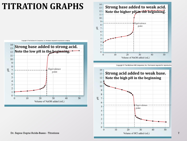### **TITRATION GRAPHS**







Copyright © The McGraw-Hill Companies, Inc. Permission required

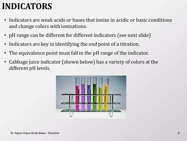# **INDICATORS**

- Indicators are weak acids or bases that ionize in acidic or basic conditions and change colors with ionizations.
- pH range can be different for different indicators (see next slide)
- Indicators are key in identifying the end point of a titration.
- The equivalence point must fall in the pH range of the indicator.
- Cabbage juice indicator (shown below) has a variety of colors at the different pH levels.

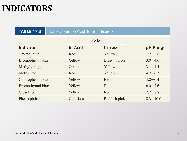### **INDICATORS**

| <b>TABLE 17.3</b>       | <b>Some Common Acid-Base Indicators</b> |                      |              |
|-------------------------|-----------------------------------------|----------------------|--------------|
| Color                   |                                         |                      |              |
| Indicator               | <b>In Acid</b>                          | In Base              | pH Range     |
| Thymol blue             | Red                                     | Yellow               | $1.2 - 2.8$  |
| <b>Bromophenol blue</b> | Yellow                                  | <b>Bluish purple</b> | $3.0 - 4.6$  |
| Methyl orange           | Orange                                  | Yellow               | $3.1 - 4.4$  |
| Methyl red              | Red                                     | Yellow               | $4.2 - 6.3$  |
| Chlorophenol blue       | Yellow                                  | Red                  | $4.8 - 6.4$  |
| Bromothymol blue        | Yellow                                  | Blue                 | $6.0 - 7.6$  |
| Cresol red              | Yellow                                  | Red                  | $7.2 - 8.8$  |
| Phenolphthalein         | Colorless                               | Reddish pink         | $8.3 - 10.0$ |